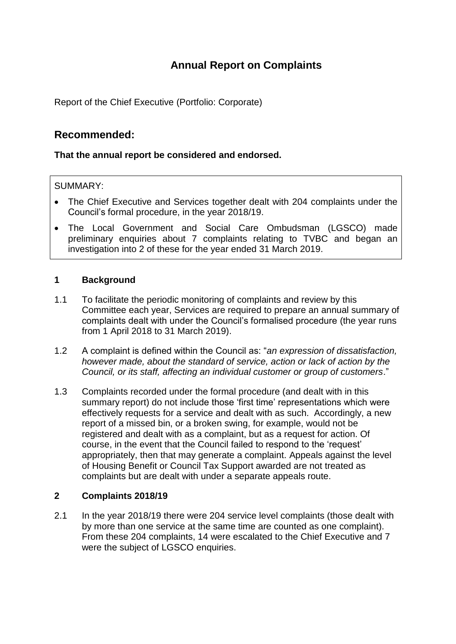# **Annual Report on Complaints**

Report of the Chief Executive (Portfolio: Corporate)

## **Recommended:**

## **That the annual report be considered and endorsed.**

## SUMMARY:

- The Chief Executive and Services together dealt with 204 complaints under the Council's formal procedure, in the year 2018/19.
- The Local Government and Social Care Ombudsman (LGSCO) made preliminary enquiries about 7 complaints relating to TVBC and began an investigation into 2 of these for the year ended 31 March 2019.

#### **1 Background**

- 1.1 To facilitate the periodic monitoring of complaints and review by this Committee each year, Services are required to prepare an annual summary of complaints dealt with under the Council's formalised procedure (the year runs from 1 April 2018 to 31 March 2019).
- 1.2 A complaint is defined within the Council as: "*an expression of dissatisfaction, however made, about the standard of service, action or lack of action by the Council, or its staff, affecting an individual customer or group of customers*."
- 1.3 Complaints recorded under the formal procedure (and dealt with in this summary report) do not include those 'first time' representations which were effectively requests for a service and dealt with as such. Accordingly, a new report of a missed bin, or a broken swing, for example, would not be registered and dealt with as a complaint, but as a request for action. Of course, in the event that the Council failed to respond to the 'request' appropriately, then that may generate a complaint. Appeals against the level of Housing Benefit or Council Tax Support awarded are not treated as complaints but are dealt with under a separate appeals route.

## **2 Complaints 2018/19**

2.1 In the year 2018/19 there were 204 service level complaints (those dealt with by more than one service at the same time are counted as one complaint). From these 204 complaints, 14 were escalated to the Chief Executive and 7 were the subject of LGSCO enquiries.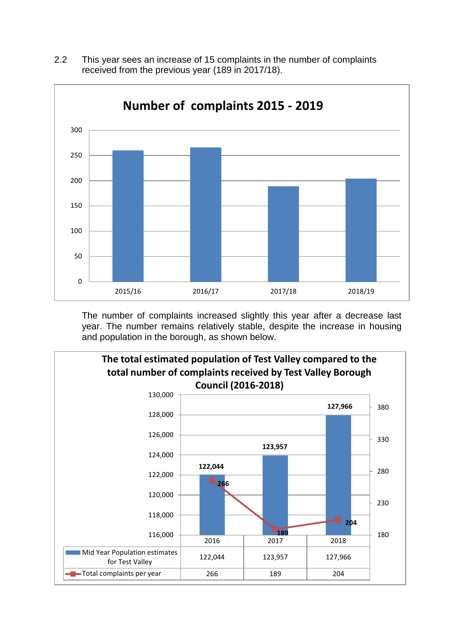

2.2 This year sees an increase of 15 complaints in the number of complaints received from the previous year (189 in 2017/18).

The number of complaints increased slightly this year after a decrease last year. The number remains relatively stable, despite the increase in housing and population in the borough, as shown below.

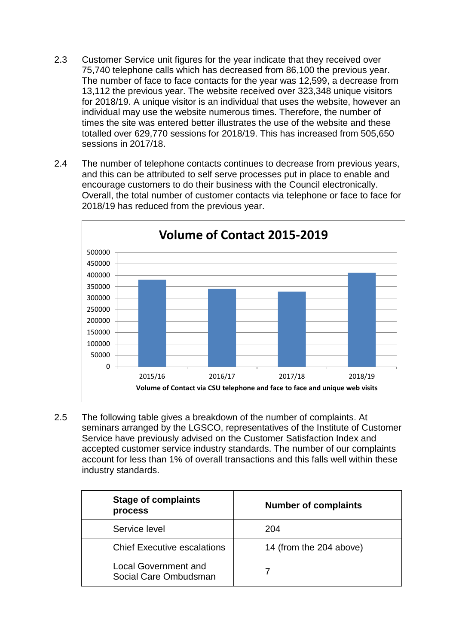- 2.3 Customer Service unit figures for the year indicate that they received over 75,740 telephone calls which has decreased from 86,100 the previous year. The number of face to face contacts for the year was 12,599, a decrease from 13,112 the previous year. The website received over 323,348 unique visitors for 2018/19. A unique visitor is an individual that uses the website, however an individual may use the website numerous times. Therefore, the number of times the site was entered better illustrates the use of the website and these totalled over 629,770 sessions for 2018/19. This has increased from 505,650 sessions in 2017/18.
- 2.4 The number of telephone contacts continues to decrease from previous years, and this can be attributed to self serve processes put in place to enable and encourage customers to do their business with the Council electronically. Overall, the total number of customer contacts via telephone or face to face for 2018/19 has reduced from the previous year.



2.5 The following table gives a breakdown of the number of complaints. At seminars arranged by the LGSCO, representatives of the Institute of Customer Service have previously advised on the Customer Satisfaction Index and accepted customer service industry standards. The number of our complaints account for less than 1% of overall transactions and this falls well within these industry standards.

| <b>Stage of complaints</b><br>process         | <b>Number of complaints</b> |
|-----------------------------------------------|-----------------------------|
| Service level                                 | 204                         |
| <b>Chief Executive escalations</b>            | 14 (from the 204 above)     |
| Local Government and<br>Social Care Ombudsman |                             |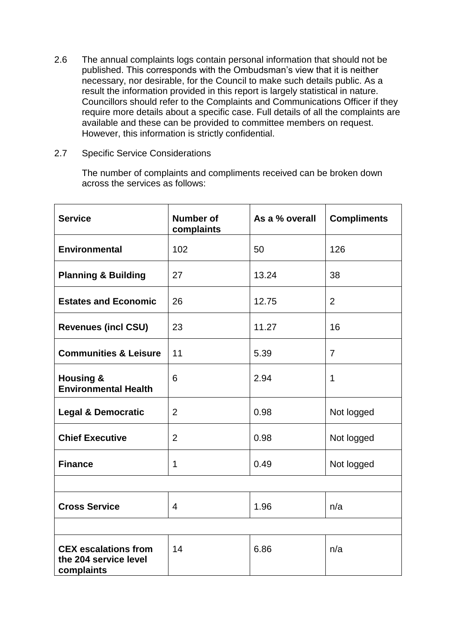- 2.6 The annual complaints logs contain personal information that should not be published. This corresponds with the Ombudsman's view that it is neither necessary, nor desirable, for the Council to make such details public. As a result the information provided in this report is largely statistical in nature. Councillors should refer to the Complaints and Communications Officer if they require more details about a specific case. Full details of all the complaints are available and these can be provided to committee members on request. However, this information is strictly confidential.
- 2.7 Specific Service Considerations

The number of complaints and compliments received can be broken down across the services as follows:

| <b>Service</b>                                                     | <b>Number of</b><br>complaints | As a % overall | <b>Compliments</b> |  |  |
|--------------------------------------------------------------------|--------------------------------|----------------|--------------------|--|--|
| <b>Environmental</b>                                               | 102                            | 50             | 126                |  |  |
| <b>Planning &amp; Building</b>                                     | 27                             | 13.24          | 38                 |  |  |
| <b>Estates and Economic</b>                                        | 26                             | 12.75          | $\overline{2}$     |  |  |
| <b>Revenues (incl CSU)</b>                                         | 23                             | 11.27          | 16                 |  |  |
| <b>Communities &amp; Leisure</b>                                   | 11                             | 5.39           | $\overline{7}$     |  |  |
| <b>Housing &amp;</b><br><b>Environmental Health</b>                | 6                              | 2.94           | $\mathbf 1$        |  |  |
| <b>Legal &amp; Democratic</b>                                      | $\overline{2}$                 | 0.98           | Not logged         |  |  |
| <b>Chief Executive</b>                                             | $\overline{2}$                 | 0.98           | Not logged         |  |  |
| <b>Finance</b>                                                     | 1                              | 0.49           | Not logged         |  |  |
|                                                                    |                                |                |                    |  |  |
| <b>Cross Service</b>                                               | $\overline{4}$                 | 1.96           | n/a                |  |  |
|                                                                    |                                |                |                    |  |  |
| <b>CEX escalations from</b><br>the 204 service level<br>complaints | 14                             | 6.86           | n/a                |  |  |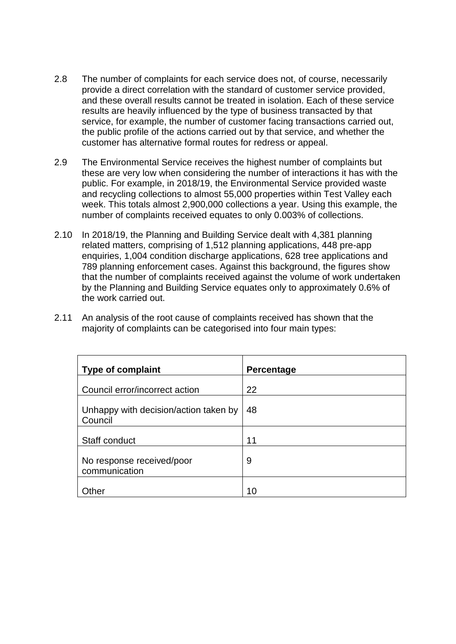- 2.8 The number of complaints for each service does not, of course, necessarily provide a direct correlation with the standard of customer service provided, and these overall results cannot be treated in isolation. Each of these service results are heavily influenced by the type of business transacted by that service, for example, the number of customer facing transactions carried out, the public profile of the actions carried out by that service, and whether the customer has alternative formal routes for redress or appeal.
- 2.9 The Environmental Service receives the highest number of complaints but these are very low when considering the number of interactions it has with the public. For example, in 2018/19, the Environmental Service provided waste and recycling collections to almost 55,000 properties within Test Valley each week. This totals almost 2,900,000 collections a year. Using this example, the number of complaints received equates to only 0.003% of collections.
- 2.10 In 2018/19, the Planning and Building Service dealt with 4,381 planning related matters, comprising of 1,512 planning applications, 448 pre-app enquiries, 1,004 condition discharge applications, 628 tree applications and 789 planning enforcement cases. Against this background, the figures show that the number of complaints received against the volume of work undertaken by the Planning and Building Service equates only to approximately 0.6% of the work carried out.
- 2.11 An analysis of the root cause of complaints received has shown that the majority of complaints can be categorised into four main types:

| <b>Type of complaint</b>                         | Percentage |
|--------------------------------------------------|------------|
| Council error/incorrect action                   | 22         |
| Unhappy with decision/action taken by<br>Council | 48         |
| Staff conduct                                    | 11         |
| No response received/poor<br>communication       | 9          |
| theı                                             | 10         |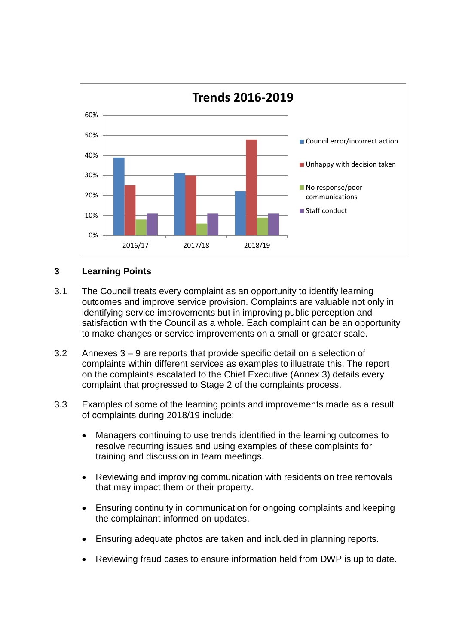

## **3 Learning Points**

- 3.1 The Council treats every complaint as an opportunity to identify learning outcomes and improve service provision. Complaints are valuable not only in identifying service improvements but in improving public perception and satisfaction with the Council as a whole. Each complaint can be an opportunity to make changes or service improvements on a small or greater scale.
- 3.2 Annexes 3 9 are reports that provide specific detail on a selection of complaints within different services as examples to illustrate this. The report on the complaints escalated to the Chief Executive (Annex 3) details every complaint that progressed to Stage 2 of the complaints process.
- 3.3 Examples of some of the learning points and improvements made as a result of complaints during 2018/19 include:
	- Managers continuing to use trends identified in the learning outcomes to resolve recurring issues and using examples of these complaints for training and discussion in team meetings.
	- Reviewing and improving communication with residents on tree removals that may impact them or their property.
	- Ensuring continuity in communication for ongoing complaints and keeping the complainant informed on updates.
	- Ensuring adequate photos are taken and included in planning reports.
	- Reviewing fraud cases to ensure information held from DWP is up to date.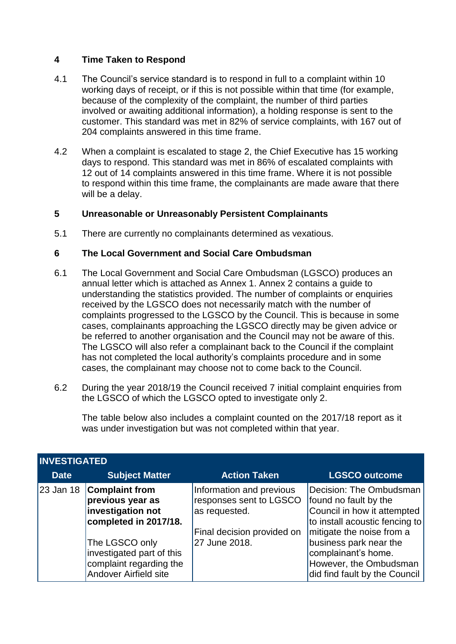#### **4 Time Taken to Respond**

- 4.1 The Council's service standard is to respond in full to a complaint within 10 working days of receipt, or if this is not possible within that time (for example, because of the complexity of the complaint, the number of third parties involved or awaiting additional information), a holding response is sent to the customer. This standard was met in 82% of service complaints, with 167 out of 204 complaints answered in this time frame.
- 4.2 When a complaint is escalated to stage 2, the Chief Executive has 15 working days to respond. This standard was met in 86% of escalated complaints with 12 out of 14 complaints answered in this time frame. Where it is not possible to respond within this time frame, the complainants are made aware that there will be a delay.

#### **5 Unreasonable or Unreasonably Persistent Complainants**

5.1 There are currently no complainants determined as vexatious.

#### **6 The Local Government and Social Care Ombudsman**

- 6.1 The Local Government and Social Care Ombudsman (LGSCO) produces an annual letter which is attached as Annex 1. Annex 2 contains a guide to understanding the statistics provided. The number of complaints or enquiries received by the LGSCO does not necessarily match with the number of complaints progressed to the LGSCO by the Council. This is because in some cases, complainants approaching the LGSCO directly may be given advice or be referred to another organisation and the Council may not be aware of this. The LGSCO will also refer a complainant back to the Council if the complaint has not completed the local authority's complaints procedure and in some cases, the complainant may choose not to come back to the Council.
- 6.2 During the year 2018/19 the Council received 7 initial complaint enquiries from the LGSCO of which the LGSCO opted to investigate only 2.

The table below also includes a complaint counted on the 2017/18 report as it was under investigation but was not completed within that year.

| <b>INVESTIGATED</b> |                                                                                                                                                                                            |                                                                                                                     |                                                                                                                                                                                                                                                              |  |
|---------------------|--------------------------------------------------------------------------------------------------------------------------------------------------------------------------------------------|---------------------------------------------------------------------------------------------------------------------|--------------------------------------------------------------------------------------------------------------------------------------------------------------------------------------------------------------------------------------------------------------|--|
| <b>Date</b>         | <b>Subject Matter</b>                                                                                                                                                                      | <b>Action Taken</b>                                                                                                 | <b>LGSCO outcome</b>                                                                                                                                                                                                                                         |  |
| 23 Jan 18           | <b>Complaint from</b><br>previous year as<br>investigation not<br>completed in 2017/18.<br>The LGSCO only<br>investigated part of this<br>complaint regarding the<br>Andover Airfield site | Information and previous<br>responses sent to LGSCO<br>as requested.<br>Final decision provided on<br>27 June 2018. | Decision: The Ombudsman  <br>found no fault by the<br>Council in how it attempted<br>to install acoustic fencing to<br>mitigate the noise from a<br>business park near the<br>complainant's home.<br>However, the Ombudsman<br>did find fault by the Council |  |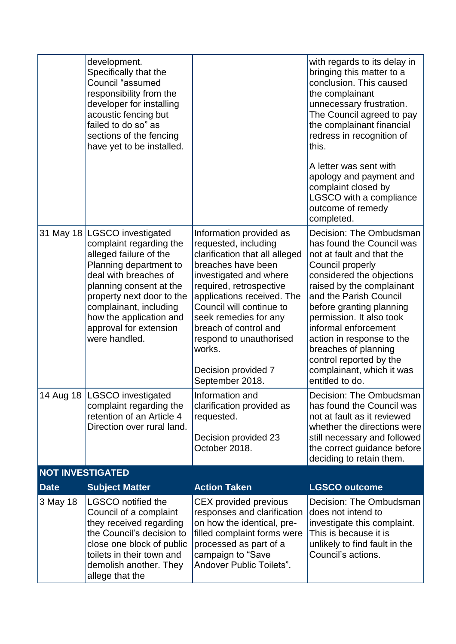|                         | development.<br>Specifically that the<br>Council "assumed<br>responsibility from the<br>developer for installing<br>acoustic fencing but<br>failed to do so" as<br>sections of the fencing<br>have yet to be installed.                                                                   |                                                                                                                                                                                                                                                                                                                                                         | with regards to its delay in<br>bringing this matter to a<br>conclusion. This caused<br>the complainant<br>unnecessary frustration.<br>The Council agreed to pay<br>the complainant financial<br>redress in recognition of<br>this.                                                                                                                                                                       |  |
|-------------------------|-------------------------------------------------------------------------------------------------------------------------------------------------------------------------------------------------------------------------------------------------------------------------------------------|---------------------------------------------------------------------------------------------------------------------------------------------------------------------------------------------------------------------------------------------------------------------------------------------------------------------------------------------------------|-----------------------------------------------------------------------------------------------------------------------------------------------------------------------------------------------------------------------------------------------------------------------------------------------------------------------------------------------------------------------------------------------------------|--|
|                         |                                                                                                                                                                                                                                                                                           |                                                                                                                                                                                                                                                                                                                                                         | A letter was sent with<br>apology and payment and<br>complaint closed by<br>LGSCO with a compliance<br>outcome of remedy<br>completed.                                                                                                                                                                                                                                                                    |  |
| 31 May 18               | <b>LGSCO</b> investigated<br>complaint regarding the<br>alleged failure of the<br>Planning department to<br>deal with breaches of<br>planning consent at the<br>property next door to the<br>complainant, including<br>how the application and<br>approval for extension<br>were handled. | Information provided as<br>requested, including<br>clarification that all alleged<br>breaches have been<br>investigated and where<br>required, retrospective<br>applications received. The<br>Council will continue to<br>seek remedies for any<br>breach of control and<br>respond to unauthorised<br>works.<br>Decision provided 7<br>September 2018. | Decision: The Ombudsman<br>has found the Council was<br>not at fault and that the<br>Council properly<br>considered the objections<br>raised by the complainant<br>and the Parish Council<br>before granting planning<br>permission. It also took<br>informal enforcement<br>action in response to the<br>breaches of planning<br>control reported by the<br>complainant, which it was<br>entitled to do. |  |
|                         | 14 Aug 18   LGSCO investigated<br>complaint regarding the<br>retention of an Article 4<br>Direction over rural land.                                                                                                                                                                      | Information and<br>clarification provided as<br>requested.<br>Decision provided 23<br>October 2018.                                                                                                                                                                                                                                                     | Decision: The Ombudsman<br>has found the Council was<br>not at fault as it reviewed<br>whether the directions were<br>still necessary and followed<br>the correct guidance before<br>deciding to retain them.                                                                                                                                                                                             |  |
| <b>NOT INVESTIGATED</b> |                                                                                                                                                                                                                                                                                           |                                                                                                                                                                                                                                                                                                                                                         |                                                                                                                                                                                                                                                                                                                                                                                                           |  |
| <b>Date</b><br>3 May 18 | <b>Subject Matter</b><br><b>LGSCO</b> notified the                                                                                                                                                                                                                                        | <b>Action Taken</b><br>CEX provided previous                                                                                                                                                                                                                                                                                                            | <b>LGSCO outcome</b><br>Decision: The Ombudsman                                                                                                                                                                                                                                                                                                                                                           |  |
|                         | Council of a complaint<br>they received regarding<br>the Council's decision to<br>close one block of public<br>toilets in their town and<br>demolish another. They<br>allege that the                                                                                                     | responses and clarification<br>on how the identical, pre-<br>filled complaint forms were<br>processed as part of a<br>campaign to "Save<br>Andover Public Toilets".                                                                                                                                                                                     | does not intend to<br>investigate this complaint.<br>This is because it is<br>unlikely to find fault in the<br>Council's actions.                                                                                                                                                                                                                                                                         |  |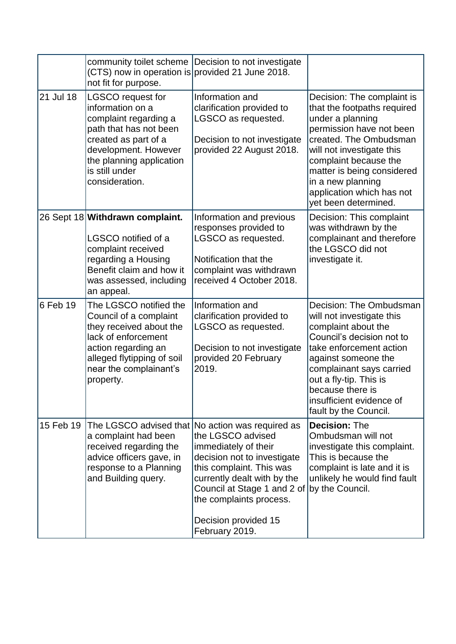|           | (CTS) now in operation is provided 21 June 2018.<br>not fit for purpose.                                                                                                                                        | community toilet scheme Decision to not investigate                                                                                                                                                                                                                  |                                                                                                                                                                                                                                                                                                   |
|-----------|-----------------------------------------------------------------------------------------------------------------------------------------------------------------------------------------------------------------|----------------------------------------------------------------------------------------------------------------------------------------------------------------------------------------------------------------------------------------------------------------------|---------------------------------------------------------------------------------------------------------------------------------------------------------------------------------------------------------------------------------------------------------------------------------------------------|
| 21 Jul 18 | <b>LGSCO</b> request for<br>information on a<br>complaint regarding a<br>path that has not been<br>created as part of a<br>development. However<br>the planning application<br>is still under<br>consideration. | Information and<br>clarification provided to<br>LGSCO as requested.<br>Decision to not investigate<br>provided 22 August 2018.                                                                                                                                       | Decision: The complaint is<br>that the footpaths required<br>under a planning<br>permission have not been<br>created. The Ombudsman<br>will not investigate this<br>complaint because the<br>matter is being considered<br>in a new planning<br>application which has not<br>yet been determined. |
|           | 26 Sept 18 Withdrawn complaint.<br>LGSCO notified of a<br>complaint received<br>regarding a Housing<br>Benefit claim and how it<br>was assessed, including<br>an appeal.                                        | Information and previous<br>responses provided to<br>LGSCO as requested.<br>Notification that the<br>complaint was withdrawn<br>received 4 October 2018.                                                                                                             | Decision: This complaint<br>was withdrawn by the<br>complainant and therefore<br>the LGSCO did not<br>investigate it.                                                                                                                                                                             |
| 6 Feb 19  | The LGSCO notified the<br>Council of a complaint<br>they received about the<br>lack of enforcement<br>action regarding an<br>alleged flytipping of soil<br>near the complainant's<br>property.                  | Information and<br>clarification provided to<br>LGSCO as requested.<br>Decision to not investigate<br>provided 20 February<br>2019.                                                                                                                                  | Decision: The Ombudsman<br>will not investigate this<br>complaint about the<br>Council's decision not to<br>take enforcement action<br>against someone the<br>complainant says carried<br>out a fly-tip. This is<br>because there is<br>insufficient evidence of<br>fault by the Council.         |
| 15 Feb 19 | The LGSCO advised that<br>a complaint had been<br>received regarding the<br>advice officers gave, in<br>response to a Planning<br>and Building query.                                                           | No action was required as<br>the LGSCO advised<br>immediately of their<br>decision not to investigate<br>this complaint. This was<br>currently dealt with by the<br>Council at Stage 1 and 2 of<br>the complaints process.<br>Decision provided 15<br>February 2019. | <b>Decision: The</b><br>Ombudsman will not<br>investigate this complaint.<br>This is because the<br>complaint is late and it is<br>unlikely he would find fault<br>by the Council.                                                                                                                |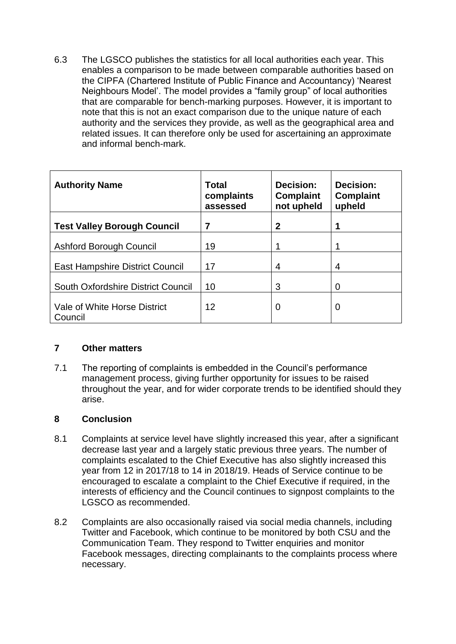6.3 The LGSCO publishes the statistics for all local authorities each year. This enables a comparison to be made between comparable authorities based on the CIPFA (Chartered Institute of Public Finance and Accountancy) 'Nearest Neighbours Model'. The model provides a "family group" of local authorities that are comparable for bench-marking purposes. However, it is important to note that this is not an exact comparison due to the unique nature of each authority and the services they provide, as well as the geographical area and related issues. It can therefore only be used for ascertaining an approximate and informal bench-mark.

| <b>Authority Name</b>                   | <b>Total</b><br>complaints<br>assessed | Decision:<br><b>Complaint</b><br>not upheld | Decision:<br><b>Complaint</b><br>upheld |
|-----------------------------------------|----------------------------------------|---------------------------------------------|-----------------------------------------|
| <b>Test Valley Borough Council</b>      | 7                                      | 2                                           |                                         |
| Ashford Borough Council                 | 19                                     |                                             |                                         |
| <b>East Hampshire District Council</b>  | 17                                     | 4                                           | 4                                       |
| South Oxfordshire District Council      | 10                                     | 3                                           | $\Omega$                                |
| Vale of White Horse District<br>Council | 12                                     | $\mathbf 0$                                 | 0                                       |

#### **7 Other matters**

7.1 The reporting of complaints is embedded in the Council's performance management process, giving further opportunity for issues to be raised throughout the year, and for wider corporate trends to be identified should they arise.

## **8 Conclusion**

- 8.1 Complaints at service level have slightly increased this year, after a significant decrease last year and a largely static previous three years. The number of complaints escalated to the Chief Executive has also slightly increased this year from 12 in 2017/18 to 14 in 2018/19. Heads of Service continue to be encouraged to escalate a complaint to the Chief Executive if required, in the interests of efficiency and the Council continues to signpost complaints to the LGSCO as recommended.
- 8.2 Complaints are also occasionally raised via social media channels, including Twitter and Facebook, which continue to be monitored by both CSU and the Communication Team. They respond to Twitter enquiries and monitor Facebook messages, directing complainants to the complaints process where necessary.